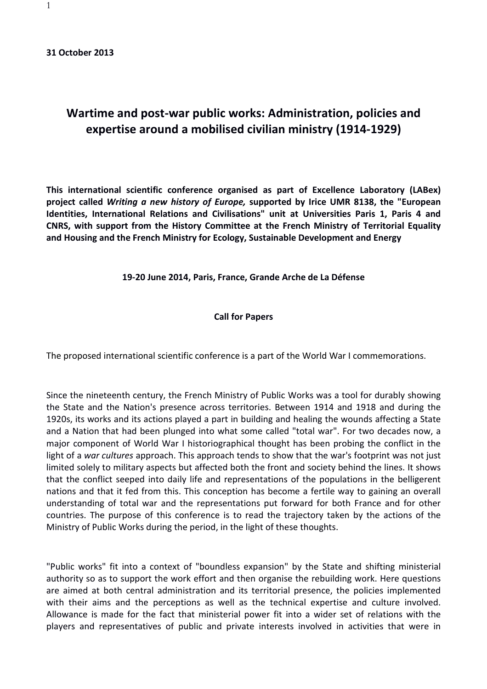## **Wartime and post-war public works: Administration, policies and expertise around a mobilised civilian ministry (1914-1929)**

**This international scientific conference organised as part of Excellence Laboratory (LABex) project called** *Writing a new history of Europe,* **supported by Irice UMR 8138, the "European Identities, International Relations and Civilisations" unit at Universities Paris 1, Paris 4 and CNRS, with support from the History Committee at the French Ministry of Territorial Equality and Housing and the French Ministry for Ecology, Sustainable Development and Energy**

## **19-20 June 2014, Paris, France, Grande Arche de La Défense**

## **Call for Papers**

The proposed international scientific conference is a part of the World War I commemorations.

Since the nineteenth century, the French Ministry of Public Works was a tool for durably showing the State and the Nation's presence across territories. Between 1914 and 1918 and during the 1920s, its works and its actions played a part in building and healing the wounds affecting a State and a Nation that had been plunged into what some called "total war". For two decades now, a major component of World War I historiographical thought has been probing the conflict in the light of a *war cultures* approach. This approach tends to show that the war's footprint was not just limited solely to military aspects but affected both the front and society behind the lines. It shows that the conflict seeped into daily life and representations of the populations in the belligerent nations and that it fed from this. This conception has become a fertile way to gaining an overall understanding of total war and the representations put forward for both France and for other countries. The purpose of this conference is to read the trajectory taken by the actions of the Ministry of Public Works during the period, in the light of these thoughts.

"Public works" fit into a context of "boundless expansion" by the State and shifting ministerial authority so as to support the work effort and then organise the rebuilding work. Here questions are aimed at both central administration and its territorial presence, the policies implemented with their aims and the perceptions as well as the technical expertise and culture involved. Allowance is made for the fact that ministerial power fit into a wider set of relations with the players and representatives of public and private interests involved in activities that were in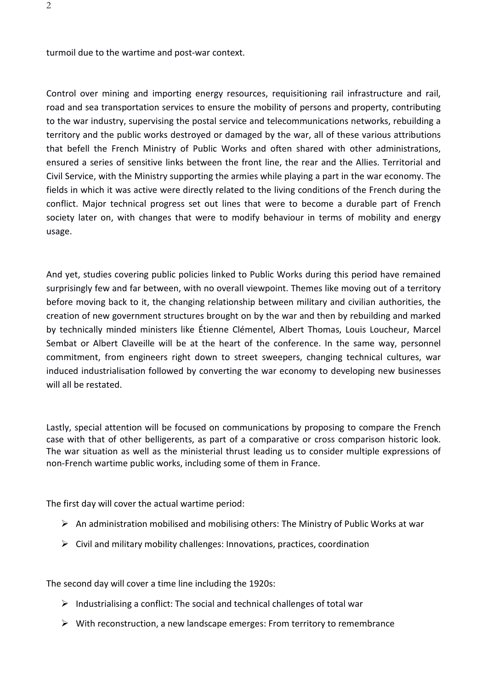turmoil due to the wartime and post-war context.

Control over mining and importing energy resources, requisitioning rail infrastructure and rail, road and sea transportation services to ensure the mobility of persons and property, contributing to the war industry, supervising the postal service and telecommunications networks, rebuilding a territory and the public works destroyed or damaged by the war, all of these various attributions that befell the French Ministry of Public Works and often shared with other administrations, ensured a series of sensitive links between the front line, the rear and the Allies. Territorial and Civil Service, with the Ministry supporting the armies while playing a part in the war economy. The fields in which it was active were directly related to the living conditions of the French during the conflict. Major technical progress set out lines that were to become a durable part of French society later on, with changes that were to modify behaviour in terms of mobility and energy usage.

And yet, studies covering public policies linked to Public Works during this period have remained surprisingly few and far between, with no overall viewpoint. Themes like moving out of a territory before moving back to it, the changing relationship between military and civilian authorities, the creation of new government structures brought on by the war and then by rebuilding and marked by technically minded ministers like Étienne Clémentel, Albert Thomas, Louis Loucheur, Marcel Sembat or Albert Claveille will be at the heart of the conference. In the same way, personnel commitment, from engineers right down to street sweepers, changing technical cultures, war induced industrialisation followed by converting the war economy to developing new businesses will all be restated.

Lastly, special attention will be focused on communications by proposing to compare the French case with that of other belligerents, as part of a comparative or cross comparison historic look. The war situation as well as the ministerial thrust leading us to consider multiple expressions of non-French wartime public works, including some of them in France.

The first day will cover the actual wartime period:

- $\triangleright$  An administration mobilised and mobilising others: The Ministry of Public Works at war
- $\triangleright$  Civil and military mobility challenges: Innovations, practices, coordination

The second day will cover a time line including the 1920s:

- $\triangleright$  Industrialising a conflict: The social and technical challenges of total war
- $\triangleright$  With reconstruction, a new landscape emerges: From territory to remembrance